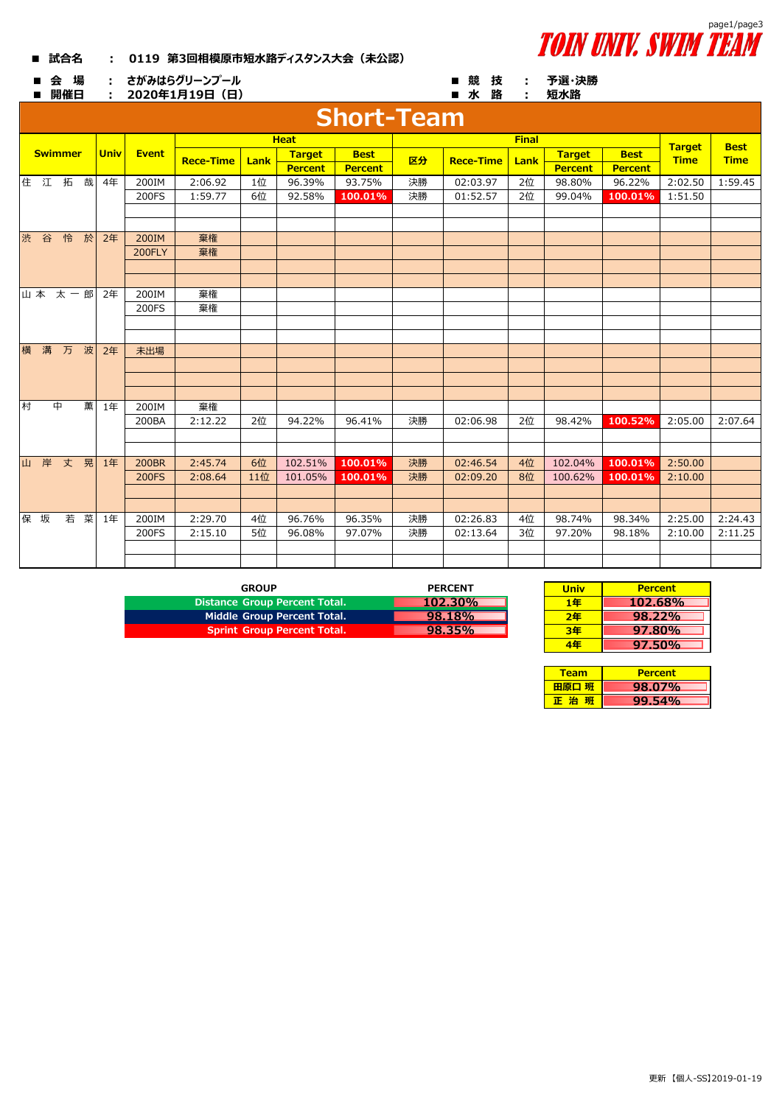## **■ 試合名 : 0119 第3回相模原市短水路ディスタンス大会(未公認)**



**予選・決勝**

■ 会 場 : さがみはらグリーンプール ■ 競 技 : **さがみはらグリーンプール**

**2020年1月19日(日)**

| 2020年1月19日 (日)<br>開催日<br>÷ |                   |             |              |                  |              |               |             |                | 短水路<br>■水路       |      |               |               |                |                |         |         |
|----------------------------|-------------------|-------------|--------------|------------------|--------------|---------------|-------------|----------------|------------------|------|---------------|---------------|----------------|----------------|---------|---------|
|                            | <b>Short-Team</b> |             |              |                  |              |               |             |                |                  |      |               |               |                |                |         |         |
|                            |                   |             |              |                  |              |               |             | <b>Heat</b>    |                  |      |               | <b>Target</b> | <b>Best</b>    |                |         |         |
| <b>Swimmer</b>             |                   | <b>Univ</b> | <b>Event</b> | <b>Rece-Time</b> | Lank         | <b>Target</b> | <b>Best</b> | 区分             | <b>Rece-Time</b> | Lank | <b>Target</b> | <b>Best</b>   | <b>Time</b>    | <b>Time</b>    |         |         |
|                            |                   |             |              |                  |              |               |             | <b>Percent</b> | <b>Percent</b>   |      |               |               | <b>Percent</b> | <b>Percent</b> |         |         |
|                            |                   | 住江拓哉        |              | 4年               | 200IM        | 2:06.92       | 1位          | 96.39%         | 93.75%           | 決勝   | 02:03.97      | 2位            | 98.80%         | 96.22%         | 2:02.50 | 1:59.45 |
|                            |                   |             |              |                  | 200FS        | 1:59.77       | 6位          | 92.58%         | 100.01%          | 決勝   | 01:52.57      | 2位            | 99.04%         | 100.01%        | 1:51.50 |         |
|                            |                   |             |              |                  |              |               |             |                |                  |      |               |               |                |                |         |         |
|                            |                   |             |              |                  |              |               |             |                |                  |      |               |               |                |                |         |         |
| 渋                          | 谷                 | 怜           | 於            | 2年               | 200IM        | 棄権            |             |                |                  |      |               |               |                |                |         |         |
|                            |                   |             |              |                  | 200FLY       | 棄権            |             |                |                  |      |               |               |                |                |         |         |
|                            |                   |             |              |                  |              |               |             |                |                  |      |               |               |                |                |         |         |
|                            |                   |             |              |                  |              |               |             |                |                  |      |               |               |                |                |         |         |
|                            |                   | 山本 太一郎      |              | 2年               | 200IM        | 棄権            |             |                |                  |      |               |               |                |                |         |         |
|                            |                   |             |              |                  | 200FS        | 棄権            |             |                |                  |      |               |               |                |                |         |         |
|                            |                   |             |              |                  |              |               |             |                |                  |      |               |               |                |                |         |         |
| 横                          | 溝                 | 万           | 波            | 2年               | 未出場          |               |             |                |                  |      |               |               |                |                |         |         |
|                            |                   |             |              |                  |              |               |             |                |                  |      |               |               |                |                |         |         |
|                            |                   |             |              |                  |              |               |             |                |                  |      |               |               |                |                |         |         |
|                            |                   |             |              |                  |              |               |             |                |                  |      |               |               |                |                |         |         |
| 村                          |                   | 中           | 薫            | 1年               | 200IM        | 棄権            |             |                |                  |      |               |               |                |                |         |         |
|                            |                   |             |              |                  | 200BA        | 2:12.22       | 2位          | 94.22%         | 96.41%           | 決勝   | 02:06.98      | 2位            | 98.42%         | 100.52%        | 2:05.00 | 2:07.64 |
|                            |                   |             |              |                  |              |               |             |                |                  |      |               |               |                |                |         |         |
|                            |                   |             |              |                  |              |               |             |                |                  |      |               |               |                |                |         |         |
|                            |                   | 山岸丈晃        |              | 1年               | <b>200BR</b> | 2:45.74       | 6位          | 102.51%        | 100.01%          | 決勝   | 02:46.54      | 4位            | 102.04%        | 100.01%        | 2:50.00 |         |
|                            |                   |             |              |                  | <b>200FS</b> | 2:08.64       | 11位         | 101.05%        | 100.01%          | 決勝   | 02:09.20      | 8位            | 100.62%        | 100.01%        | 2:10.00 |         |
|                            |                   |             |              |                  |              |               |             |                |                  |      |               |               |                |                |         |         |
|                            |                   |             |              |                  |              |               |             |                |                  |      |               |               |                |                |         |         |
|                            | 保 坂               | 若           | 菜            | 1年               | 200IM        | 2:29.70       | 4位          | 96.76%         | 96.35%           | 決勝   | 02:26.83      | 4位            | 98.74%         | 98.34%         | 2:25.00 | 2:24.43 |
|                            |                   |             |              |                  | 200FS        | 2:15.10       | 5位          | 96.08%         | 97.07%           | 決勝   | 02:13.64      | 3位            | 97.20%         | 98.18%         | 2:10.00 | 2:11.25 |
|                            |                   |             |              |                  |              |               |             |                |                  |      |               |               |                |                |         |         |
|                            |                   |             |              |                  |              |               |             |                |                  |      |               |               |                |                |         |         |

| <b>GROUP</b>                       | <b>PERCENT</b> | <b>Univ</b> | <b>Percent</b> |
|------------------------------------|----------------|-------------|----------------|
| Distance Group Percent Total.      | $102.30\%$     | 1年          | 102.68%        |
| Middle Group Percent Total.        | 98.18%         | 2年          | 98.22%         |
| <b>Sprint Group Percent Total.</b> | 98.35%         | 3年          | 97.80%         |

| <b>PERCENT</b> | <b>Univ</b> | <b>Percent</b> |
|----------------|-------------|----------------|
| $102.30\%$     | 1年          | 102.68%        |
| 98.18%         | 2年          | $98.22\%$      |
| 98.35%         | 3年          | $97.80\%$      |
|                |             | $97.50\%$      |

| Team  | <b>Percent</b> |
|-------|----------------|
| 田原口 班 | 98.07%         |
| 正治    | $9.54\%$       |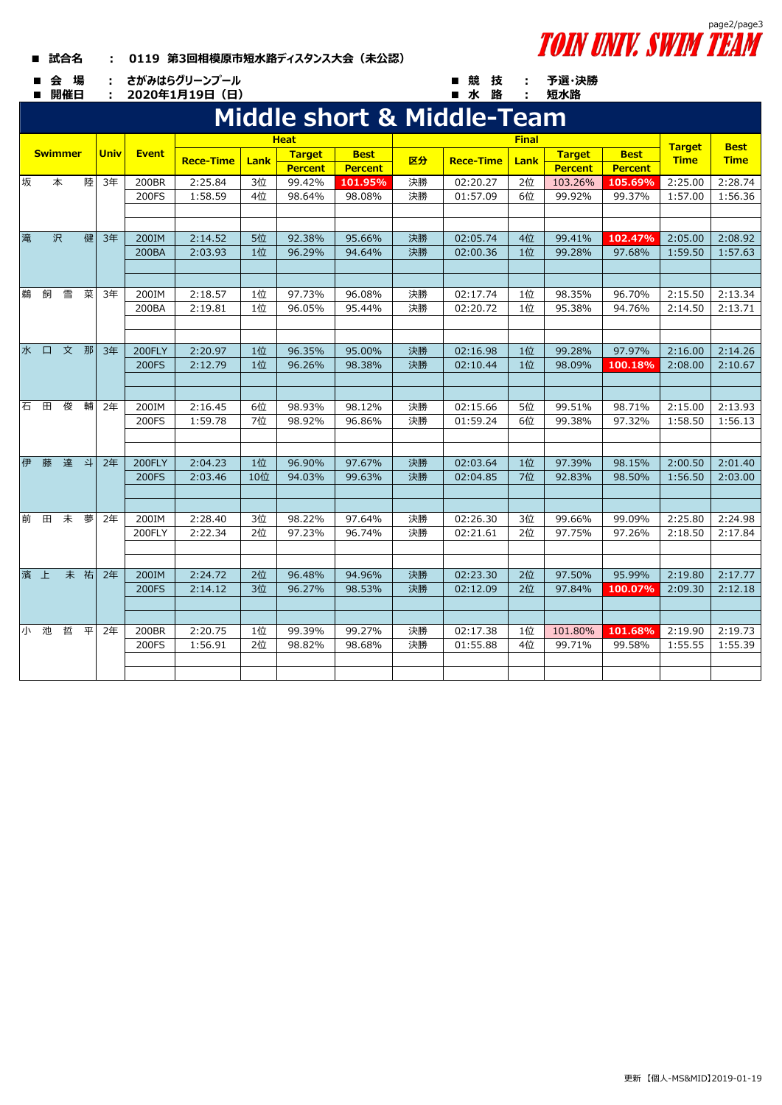## **■ 試合名 : 0119 第3回相模原市短水路ディスタンス大会(未公認)**

■ 会 場 : さがみはらグリーンプール ■ 競 技 :

■ 開催日 : 2020年1月19日(日) ■ 水 路 :



**予選・決勝 短水路**

|   | <b>Swimmer</b>    |     |             |              |                  |         |               | <b>Heat</b>      |                  |    |                      |               |                  |                              |                            |         |
|---|-------------------|-----|-------------|--------------|------------------|---------|---------------|------------------|------------------|----|----------------------|---------------|------------------|------------------------------|----------------------------|---------|
|   |                   |     | <b>Univ</b> | <b>Event</b> | <b>Rece-Time</b> |         | <b>Target</b> | <b>Best</b>      |                  |    | Lank                 | <b>Target</b> | <b>Best</b>      | <b>Target</b><br><b>Time</b> | <b>Best</b><br><b>Time</b> |         |
|   |                   |     |             |              |                  |         | <b>Lank</b>   | <b>Percent</b>   | <b>Percent</b>   | 区分 | <b>Rece-Time</b>     |               | <b>Percent</b>   | <b>Percent</b>               |                            |         |
| 坂 |                   | 本   | 陸           | 3年           | 200BR            | 2:25.84 | 3位            | 99.42%           | 101.95%          | 決勝 | 02:20.27             | 2位            | 103.26%          | 105.69%                      | 2:25.00                    | 2:28.74 |
|   |                   |     |             |              | 200FS            | 1:58.59 | 4位            | 98.64%           | 98.08%           | 決勝 | 01:57.09             | 6位            | 99.92%           | 99.37%                       | 1:57.00                    | 1:56.36 |
|   |                   |     |             |              |                  |         |               |                  |                  |    |                      |               |                  |                              |                            |         |
|   |                   |     |             |              |                  |         |               |                  |                  |    |                      |               |                  |                              |                            |         |
| 滝 |                   | 沢   | 健           | 3年           | 200IM            | 2:14.52 | 5位            | 92.38%           | 95.66%           | 決勝 | 02:05.74             | 4位            | 99.41%           | 102.47%                      | 2:05.00                    | 2:08.92 |
|   |                   |     |             |              | 200BA            | 2:03.93 | 1位            | 96.29%           | 94.64%           | 決勝 | 02:00.36             | 1位            | 99.28%           | 97.68%                       | 1:59.50                    | 1:57.63 |
|   |                   |     |             |              |                  |         |               |                  |                  |    |                      |               |                  |                              |                            |         |
|   |                   |     |             |              |                  |         |               |                  |                  |    |                      |               |                  |                              |                            |         |
| 鵜 | 飼                 | 雪   | 菜           | 3年           | 200IM            | 2:18.57 | 1位            | 97.73%           | 96.08%           | 決勝 | 02:17.74             | 1位            | 98.35%           | 96.70%                       | 2:15.50                    | 2:13.34 |
|   |                   |     |             |              | 200BA            | 2:19.81 | 1位            | 96.05%           | 95.44%           | 決勝 | 02:20.72             | 1位            | 95.38%           | 94.76%                       | 2:14.50                    | 2:13.71 |
|   |                   |     |             |              |                  |         |               |                  |                  |    |                      |               |                  |                              |                            |         |
|   |                   |     |             |              |                  |         |               |                  |                  |    |                      |               |                  |                              |                            |         |
|   | 水口文那              |     |             | 3年           | 200FLY           | 2:20.97 | 1位            | 96.35%           | 95.00%           | 決勝 | 02:16.98             | 1位            | 99.28%           | 97.97%                       | 2:16.00                    | 2:14.26 |
|   |                   |     |             |              | 200FS            | 2:12.79 | 1位            | 96.26%           | 98.38%           | 決勝 | 02:10.44             | 1位            | 98.09%           | 100.18%                      | 2:08.00                    | 2:10.67 |
|   |                   |     |             |              |                  |         |               |                  |                  |    |                      |               |                  |                              |                            |         |
|   |                   |     |             |              |                  |         |               |                  |                  |    |                      |               |                  |                              |                            |         |
|   | 石<br>$\mathbf{H}$ | 俊   | 輔           | 2年           | 200IM            | 2:16.45 | 6位            | 98.93%           | 98.12%           | 決勝 | 02:15.66             | 5位            | 99.51%           | 98.71%                       | 2:15.00                    | 2:13.93 |
|   |                   |     |             |              | 200FS            | 1:59.78 | 7位            | 98.92%           | 96.86%           | 決勝 | 01:59.24             | 6位            | 99.38%           | 97.32%                       | 1:58.50                    | 1:56.13 |
|   |                   |     |             |              |                  |         |               |                  |                  |    |                      |               |                  |                              |                            |         |
| 伊 |                   | 達 斗 |             |              | <b>200FLY</b>    | 2:04.23 | 1位            |                  |                  | 決勝 |                      | 1位            |                  |                              |                            | 2:01.40 |
|   | 藤                 |     |             | 2年           | 200FS            | 2:03.46 | 10位           | 96.90%<br>94.03% | 97.67%<br>99.63% | 決勝 | 02:03.64<br>02:04.85 | 7位            | 97.39%<br>92.83% | 98.15%<br>98.50%             | 2:00.50<br>1:56.50         | 2:03.00 |
|   |                   |     |             |              |                  |         |               |                  |                  |    |                      |               |                  |                              |                            |         |
|   |                   |     |             |              |                  |         |               |                  |                  |    |                      |               |                  |                              |                            |         |
|   | 前                 | 田未  | 夢           | 2年           | 200IM            | 2:28.40 | 3位            | 98.22%           | 97.64%           | 決勝 | 02:26.30             | 3位            | 99.66%           | 99.09%                       | 2:25.80                    | 2:24.98 |
|   |                   |     |             |              | 200FLY           | 2:22.34 | 2位            | 97.23%           | 96.74%           | 決勝 | 02:21.61             | 2位            | 97.75%           | 97.26%                       | 2:18.50                    | 2:17.84 |
|   |                   |     |             |              |                  |         |               |                  |                  |    |                      |               |                  |                              |                            |         |
|   |                   |     |             |              |                  |         |               |                  |                  |    |                      |               |                  |                              |                            |         |
|   | 濱 上               |     | 未祐          | 2年           | 200IM            | 2:24.72 | 2位            | 96.48%           | 94.96%           | 決勝 | 02:23.30             | 2位            | 97.50%           | 95.99%                       | 2:19.80                    | 2:17.77 |
|   |                   |     |             |              | <b>200FS</b>     | 2:14.12 | 3位            | 96.27%           | 98.53%           | 決勝 | 02:12.09             | 2位            | 97.84%           | 100.07%                      | 2:09.30                    | 2:12.18 |
|   |                   |     |             |              |                  |         |               |                  |                  |    |                      |               |                  |                              |                            |         |
|   |                   |     |             |              |                  |         |               |                  |                  |    |                      |               |                  |                              |                            |         |
|   | 小池                | 哲   | 平           | 2年           | 200BR            | 2:20.75 | 1位            | 99.39%           | 99.27%           | 決勝 | 02:17.38             | 1位            | 101.80%          | 101.68%                      | 2:19.90                    | 2:19.73 |
|   |                   |     |             |              | 200FS            | 1:56.91 | 2位            | 98.82%           | 98.68%           | 決勝 | 01:55.88             | 4位            | 99.71%           | 99.58%                       | 1:55.55                    | 1:55.39 |
|   |                   |     |             |              |                  |         |               |                  |                  |    |                      |               |                  |                              |                            |         |
|   |                   |     |             |              |                  |         |               |                  |                  |    |                      |               |                  |                              |                            |         |